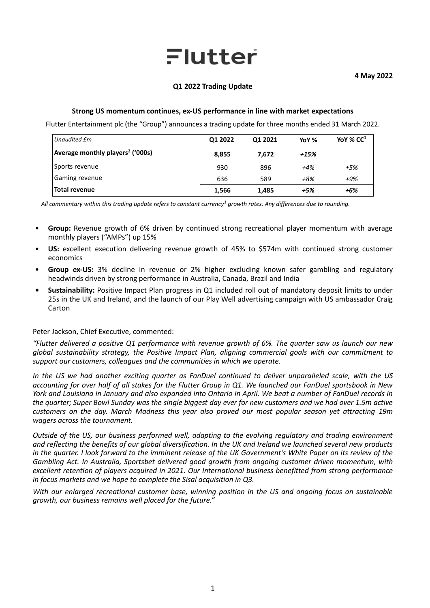# Flutter

# **Q1 2022 Trading Update**

## **Strong US momentum continues, ex-US performance in line with market expectations**

Flutter Entertainment plc (the "Group") announces a trading update for three months ended 31 March 2022.

| Unaudited £m                                 | Q1 2022 | Q1 2021 | YoY % | YoY % $CC1$ |
|----------------------------------------------|---------|---------|-------|-------------|
| Average monthly players <sup>2</sup> ('000s) | 8.855   | 7.672   | +15%  |             |
| Sports revenue                               | 930     | 896     | $+4%$ | $+5%$       |
| Gaming revenue                               | 636     | 589     | +8%   | +9%         |
| <b>Total revenue</b>                         | 1,566   | 1,485   | +5%   | +6%         |

 *All commentary within this trading update refers to constant currency<sup>1</sup> growth rates. Any differences due to rounding.*

- **Group:** Revenue growth of 6% driven by continued strong recreational player momentum with average monthly players ("AMPs") up 15%
- **US:** excellent execution delivering revenue growth of 45% to \$574m with continued strong customer economics
- **Group ex-US:** 3% decline in revenue or 2% higher excluding known safer gambling and regulatory headwinds driven by strong performance in Australia, Canada, Brazil and India
- **• Sustainability:** Positive Impact Plan progress in Q1 included roll out of mandatory deposit limits to under 25s in the UK and Ireland, and the launch of our Play Well advertising campaign with US ambassador Craig Carton

# Peter Jackson, Chief Executive, commented:

*"Flutter delivered a positive Q1 performance with revenue growth of 6%. The quarter saw us launch our new global sustainability strategy, the Positive Impact Plan, aligning commercial goals with our commitment to support our customers, colleagues and the communities in which we operate.* 

*In the US we had another exciting quarter as FanDuel continued to deliver unparalleled scale, with the US accounting for over half of all stakes for the Flutter Group in Q1. We launched our FanDuel sportsbook in New York and Louisiana in January and also expanded into Ontario in April. We beat a number of FanDuel records in the quarter; Super Bowl Sunday was the single biggest day ever for new customers and we had over 1.5m active customers on the day. March Madness this year also proved our most popular season yet attracting 19m wagers across the tournament.* 

*Outside of the US, our business performed well, adapting to the evolving regulatory and trading environment and reflecting the benefits of our global diversification. In the UK and Ireland we launched several new products in the quarter. I look forward to the imminent release of the UK Government's White Paper on its review of the Gambling Act. In Australia, Sportsbet delivered good growth from ongoing customer driven momentum, with excellent retention of players acquired in 2021. Our International business benefitted from strong performance in focus markets and we hope to complete the Sisal acquisition in Q3.*

*With our enlarged recreational customer base, winning position in the US and ongoing focus on sustainable growth, our business remains well placed for the future."*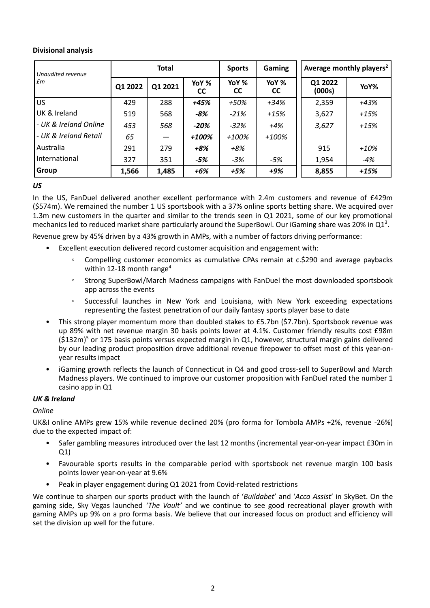# **Divisional analysis**

| Unaudited revenue<br>$\mathbf{f}$ | <b>Total</b> |         | <b>Sports</b> | <b>Gaming</b>      | Average monthly players <sup>2</sup> |                   |        |
|-----------------------------------|--------------|---------|---------------|--------------------|--------------------------------------|-------------------|--------|
|                                   | Q1 2022      | Q1 2021 | YoY %<br>СC   | YoY %<br><b>CC</b> | YoY %<br><b>CC</b>                   | Q1 2022<br>(000s) | YoY%   |
| <b>US</b>                         | 429          | 288     | +45%          | +50%               | $+34%$                               | 2,359             | +43%   |
| UK & Ireland                      | 519          | 568     | -8%           | $-21%$             | $+15%$                               | 3,627             | $+15%$ |
| - UK & Ireland Online             | 453          | 568     | $-20%$        | $-32%$             | $+4%$                                | 3,627             | $+15%$ |
| - UK & Ireland Retail             | 65           |         | +100%         | $+100%$            | $+100%$                              |                   |        |
| Australia                         | 291          | 279     | $+8%$         | $+8%$              |                                      | 915               | $+10%$ |
| International                     | 327          | 351     | -5%           | $-3%$              | -5%                                  | 1,954             | -4%    |
| Group                             | 1,566        | 1,485   | $+6%$         | $+5%$              | $+9%$                                | 8,855             | $+15%$ |

*US*

In the US, FanDuel delivered another excellent performance with 2.4m customers and revenue of £429m (\$574m). We remained the number 1 US sportsbook with a 37% online sports betting share. We acquired over 1.3m new customers in the quarter and similar to the trends seen in Q1 2021, some of our key promotional mechanics led to reduced market share particularly around the SuperBowl. Our iGaming share was 20% in Q1<sup>3</sup>.

Revenue grew by 45% driven by a 43% growth in AMPs, with a number of factors driving performance:

- Excellent execution delivered record customer acquisition and engagement with:
	- Compelling customer economics as cumulative CPAs remain at c.\$290 and average paybacks within 12-18 month range<sup>4</sup>
	- Strong SuperBowl/March Madness campaigns with FanDuel the most downloaded sportsbook app across the events
	- Successful launches in New York and Louisiana, with New York exceeding expectations representing the fastest penetration of our daily fantasy sports player base to date
- This strong player momentum more than doubled stakes to £5.7bn (\$7.7bn). Sportsbook revenue was up 89% with net revenue margin 30 basis points lower at 4.1%. Customer friendly results cost £98m  $(S132m)^5$  or 175 basis points versus expected margin in Q1, however, structural margin gains delivered by our leading product proposition drove additional revenue firepower to offset most of this year-onyear results impact
- iGaming growth reflects the launch of Connecticut in Q4 and good cross-sell to SuperBowl and March Madness players. We continued to improve our customer proposition with FanDuel rated the number 1 casino app in Q1

# *UK & Ireland*

*Online*

UK&I online AMPs grew 15% while revenue declined 20% (pro forma for Tombola AMPs +2%, revenue -26%) due to the expected impact of:

- Safer gambling measures introduced over the last 12 months (incremental year-on-year impact £30m in Q1)
- Favourable sports results in the comparable period with sportsbook net revenue margin 100 basis points lower year-on-year at 9.6%
- Peak in player engagement during Q1 2021 from Covid-related restrictions

We continue to sharpen our sports product with the launch of '*Buildabet*' and '*Acca Assist*' in SkyBet. On the gaming side, Sky Vegas launched *'The Vault'* and we continue to see good recreational player growth with gaming AMPs up 9% on a pro forma basis. We believe that our increased focus on product and efficiency will set the division up well for the future.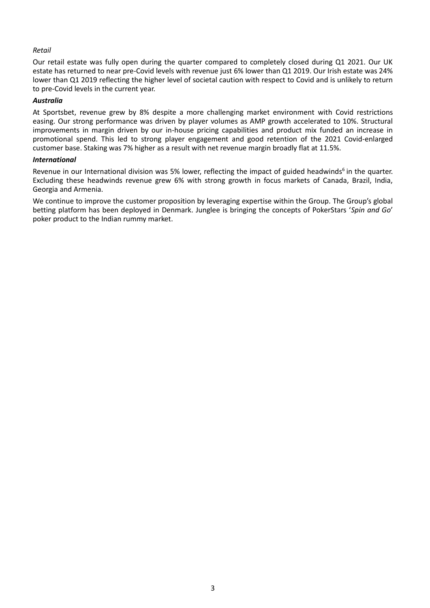# *Retail*

Our retail estate was fully open during the quarter compared to completely closed during Q1 2021. Our UK estate has returned to near pre-Covid levels with revenue just 6% lower than Q1 2019. Our Irish estate was 24% lower than Q1 2019 reflecting the higher level of societal caution with respect to Covid and is unlikely to return to pre-Covid levels in the current year.

## *Australia*

At Sportsbet, revenue grew by 8% despite a more challenging market environment with Covid restrictions easing. Our strong performance was driven by player volumes as AMP growth accelerated to 10%. Structural improvements in margin driven by our in-house pricing capabilities and product mix funded an increase in promotional spend. This led to strong player engagement and good retention of the 2021 Covid-enlarged customer base. Staking was 7% higher as a result with net revenue margin broadly flat at 11.5%.

## *International*

Revenue in our International division was 5% lower, reflecting the impact of guided headwinds<sup>6</sup> in the quarter. Excluding these headwinds revenue grew 6% with strong growth in focus markets of Canada, Brazil, India, Georgia and Armenia.

We continue to improve the customer proposition by leveraging expertise within the Group. The Group's global betting platform has been deployed in Denmark. Junglee is bringing the concepts of PokerStars '*Spin and Go*' poker product to the Indian rummy market.